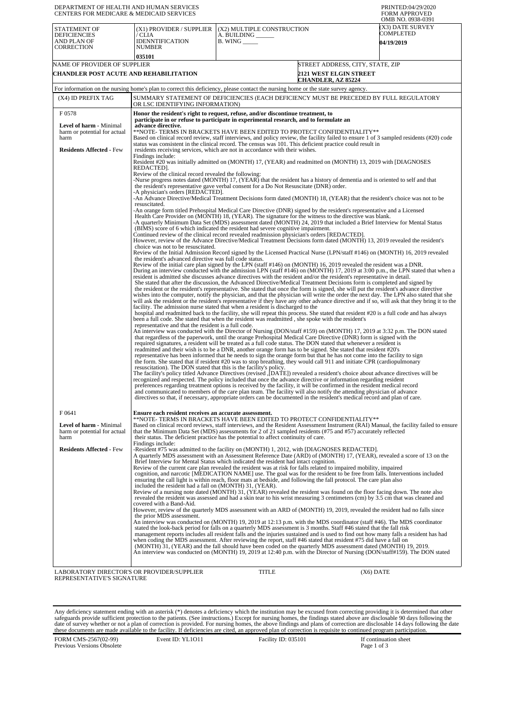| DEPARTMENT OF HEALTH AND HUMAN SERVICES<br><b>CENTERS FOR MEDICARE &amp; MEDICAID SERVICES</b> |                                                                                                                                                                                                                                                                                                                                                                                                                                                                                                                                                                                                                                                                                                                                                                                                                                                                                                                                                                                                                                                                                                                                                                                                                                                                                                                                                                                          |                                                                                                                        |                                                            | PRINTED:04/29/2020<br><b>FORM APPROVED</b><br>OMB NO. 0938-0391 |  |
|------------------------------------------------------------------------------------------------|------------------------------------------------------------------------------------------------------------------------------------------------------------------------------------------------------------------------------------------------------------------------------------------------------------------------------------------------------------------------------------------------------------------------------------------------------------------------------------------------------------------------------------------------------------------------------------------------------------------------------------------------------------------------------------------------------------------------------------------------------------------------------------------------------------------------------------------------------------------------------------------------------------------------------------------------------------------------------------------------------------------------------------------------------------------------------------------------------------------------------------------------------------------------------------------------------------------------------------------------------------------------------------------------------------------------------------------------------------------------------------------|------------------------------------------------------------------------------------------------------------------------|------------------------------------------------------------|-----------------------------------------------------------------|--|
| STATEMENT OF<br><b>DEFICIENCIES</b><br>AND PLAN OF<br><b>CORRECTION</b>                        | (X1) PROVIDER / SUPPLIER<br>/ CLIA<br><b>IDENNTIFICATION</b><br>NUMBER                                                                                                                                                                                                                                                                                                                                                                                                                                                                                                                                                                                                                                                                                                                                                                                                                                                                                                                                                                                                                                                                                                                                                                                                                                                                                                                   | (X2) MULTIPLE CONSTRUCTION<br>A. BUILDING __<br>$B.$ WING $\_\_\_\_\_\_\_\$                                            |                                                            | (X3) DATE SURVEY<br>COMPLETED<br><b>04/19/2019</b>              |  |
| NAME OF PROVIDER OF SUPPLIER                                                                   | 035101                                                                                                                                                                                                                                                                                                                                                                                                                                                                                                                                                                                                                                                                                                                                                                                                                                                                                                                                                                                                                                                                                                                                                                                                                                                                                                                                                                                   |                                                                                                                        | STREET ADDRESS, CITY, STATE, ZIP                           |                                                                 |  |
| <b>CHANDLER POST ACUTE AND REHABILITATION</b>                                                  |                                                                                                                                                                                                                                                                                                                                                                                                                                                                                                                                                                                                                                                                                                                                                                                                                                                                                                                                                                                                                                                                                                                                                                                                                                                                                                                                                                                          |                                                                                                                        | <b>2121 WEST ELGIN STREET</b><br><b>CHANDLER, AZ 85224</b> |                                                                 |  |
|                                                                                                | For information on the nursing home's plan to correct this deficiency, please contact the nursing home or the state survey agency.                                                                                                                                                                                                                                                                                                                                                                                                                                                                                                                                                                                                                                                                                                                                                                                                                                                                                                                                                                                                                                                                                                                                                                                                                                                       |                                                                                                                        |                                                            |                                                                 |  |
| (X4) ID PREFIX TAG                                                                             | SUMMARY STATEMENT OF DEFICIENCIES (EACH DEFICIENCY MUST BE PRECEDED BY FULL REGULATORY<br>OR LSC IDENTIFYING INFORMATION)                                                                                                                                                                                                                                                                                                                                                                                                                                                                                                                                                                                                                                                                                                                                                                                                                                                                                                                                                                                                                                                                                                                                                                                                                                                                |                                                                                                                        |                                                            |                                                                 |  |
| F0578                                                                                          | Honor the resident's right to request, refuse, and/or discontinue treatment, to                                                                                                                                                                                                                                                                                                                                                                                                                                                                                                                                                                                                                                                                                                                                                                                                                                                                                                                                                                                                                                                                                                                                                                                                                                                                                                          |                                                                                                                        |                                                            |                                                                 |  |
| Level of harm - Minimal<br>harm or potential for actual<br>harm                                | participate in or refuse to participate in experimental research, and to formulate an<br>advance directive.<br>**NOTE- TERMS IN BRACKETS HAVE BEEN EDITED TO PROTECT CONFIDENTIALITY**<br>Based on clinical record review, staff interviews, and policy review, the facility failed to ensure 1 of 3 sampled residents (#20) code<br>status was consistent in the clinical record. The census was 101. This deficient practice could result in                                                                                                                                                                                                                                                                                                                                                                                                                                                                                                                                                                                                                                                                                                                                                                                                                                                                                                                                           |                                                                                                                        |                                                            |                                                                 |  |
| <b>Residents Affected - Few</b>                                                                | residents receiving services, which are not in accordance with their wishes.<br>Findings include:<br>Resident #20 was initially admitted on (MONTH) 17, (YEAR) and readmitted on (MONTH) 13, 2019 with [DIAGNOSES<br>REDACTED].                                                                                                                                                                                                                                                                                                                                                                                                                                                                                                                                                                                                                                                                                                                                                                                                                                                                                                                                                                                                                                                                                                                                                          |                                                                                                                        |                                                            |                                                                 |  |
|                                                                                                | Review of the clinical record revealed the following:<br>-Nurse progress notes dated (MONTH) 17, (YEAR) that the resident has a history of dementia and is oriented to self and that<br>the resident's representative gave verbal consent for a Do Not Resuscitate (DNR) order.<br>-A physician's orders [REDACTED].                                                                                                                                                                                                                                                                                                                                                                                                                                                                                                                                                                                                                                                                                                                                                                                                                                                                                                                                                                                                                                                                     |                                                                                                                        |                                                            |                                                                 |  |
|                                                                                                | -An Advance Directive/Medical Treatment Decisions form dated (MONTH) 18, (YEAR) that the resident's choice was not to be<br>resuscitated.                                                                                                                                                                                                                                                                                                                                                                                                                                                                                                                                                                                                                                                                                                                                                                                                                                                                                                                                                                                                                                                                                                                                                                                                                                                |                                                                                                                        |                                                            |                                                                 |  |
|                                                                                                | -An orange form titled Prehospital Medical Care Directive (DNR) signed by the resident's representative and a Licensed<br>Health Care Provider on (MONTH) 18, (YEAR). The signature for the witness to the directive was blank.<br>-A quarterly Minimum Data Set (MDS) assessment dated (MONTH) 24, 2019 that included a Brief Interview for Mental Status<br>(BIMS) score of 6 which indicated the resident had severe cognitive impairment.<br>Continued review of the clinical record revealed readmission physician's orders [REDACTED].                                                                                                                                                                                                                                                                                                                                                                                                                                                                                                                                                                                                                                                                                                                                                                                                                                             |                                                                                                                        |                                                            |                                                                 |  |
|                                                                                                | However, review of the Advance Directive/Medical Treatment Decisions form dated (MONTH) 13, 2019 revealed the resident's<br>choice was not to be resuscitated.                                                                                                                                                                                                                                                                                                                                                                                                                                                                                                                                                                                                                                                                                                                                                                                                                                                                                                                                                                                                                                                                                                                                                                                                                           |                                                                                                                        |                                                            |                                                                 |  |
|                                                                                                | Review of the Initial Admission Record signed by the Licensed Practical Nurse (LPN/staff #146) on (MONTH) 16, 2019 revealed<br>the resident's advanced directive was full code status.                                                                                                                                                                                                                                                                                                                                                                                                                                                                                                                                                                                                                                                                                                                                                                                                                                                                                                                                                                                                                                                                                                                                                                                                   |                                                                                                                        |                                                            |                                                                 |  |
|                                                                                                | Review of the initial care plan signed by the LPN (staff #146) on (MONTH) 16, 2019 revealed the resident was a DNR.<br>During an interview conducted with the admission LPN (staff #146) on (MONTH) 17, 2019 at 3:00 p.m., the LPN stated that when a<br>resident is admitted she discusses advance directives with the resident and/or the resident's representative in detail.<br>She stated that after the discussion, the Advanced Directive/Medical Treatment Decisions form is completed and signed by<br>the resident or the resident's representative. She stated that once the form is signed, she will put the resident's advance directive<br>wishes into the computer, notify the physician, and that the physician will write the order the next day. The LPN also stated that she<br>will ask the resident or the resident's representative if they have any other advance directive and if so, will ask that they bring it to the<br>facility. The admission nurse stated that when a resident is discharged to the<br>hospital and readmitted back to the facility, she will repeat this process. She stated that resident #20 is a full code and has always<br>been a full code. She stated that when the resident was readmitted, she spoke with the resident's                                                                                                        |                                                                                                                        |                                                            |                                                                 |  |
|                                                                                                | representative and that the resident is a full code.<br>An interview was conducted with the Director of Nursing (DON/staff #159) on (MONTH) 17, 2019 at 3:32 p.m. The DON stated<br>that regardless of the paperwork, until the orange Prehospital Medical Care Directive (DNR) form is signed with the<br>required signatures, a resident will be treated as a full code status. The DON stated that whenever a resident is<br>readmitted and their wish is to be a DNR, another orange form has to be signed. She stated that resident #20's<br>representative has been informed that he needs to sign the orange form but that he has not come into the facility to sign<br>resuscitation). The DON stated that this is the facility's policy.<br>The facility's policy titled Advance Directives (revised , [DATE]) revealed a resident's choice about advance directives will be<br>recognized and respected. The policy included that once the advance directive or information regarding resident<br>preferences regarding treatment options is received by the facility, it will be confirmed in the resident medical record<br>and communicated to members of the care plan team. The facility will also notify the attending physician of advance<br>directives so that, if necessary, appropriate orders can be documented in the resident's medical record and plan of care. | the form. She stated that if resident #20 was to stop breathing, they would call 911 and initiate CPR (cardiopulmonary |                                                            |                                                                 |  |
| F0641                                                                                          | Ensure each resident receives an accurate assessment.                                                                                                                                                                                                                                                                                                                                                                                                                                                                                                                                                                                                                                                                                                                                                                                                                                                                                                                                                                                                                                                                                                                                                                                                                                                                                                                                    |                                                                                                                        |                                                            |                                                                 |  |
| Level of harm - Minimal<br>harm or potential for actual<br>harm                                | **NOTE- TERMS IN BRACKETS HAVE BEEN EDITED TO PROTECT CONFIDENTIALITY**<br>Based on clinical record reviews, staff interviews, and the Resident Assessment Instrument (RAI) Manual, the facility failed to ensure<br>that the Minimum Data Set (MDS) assessments for 2 of 21 sampled residents (#75 and #57) accurately reflected<br>their status. The deficient practice has the potential to affect continuity of care.                                                                                                                                                                                                                                                                                                                                                                                                                                                                                                                                                                                                                                                                                                                                                                                                                                                                                                                                                                |                                                                                                                        |                                                            |                                                                 |  |
| <b>Residents Affected - Few</b>                                                                | Findings include:<br>-Resident #75 was admitted to the facility on (MONTH) 1, 2012, with [DIAGNOSES REDACTED].<br>A quarterly MDS assessment with an Assessment Reference Date (ARD) of (MONTH) 17, (YEAR), revealed a score of 13 on the<br>Brief Interview for Mental Status which indicated the resident had intact cognition.<br>Review of the current care plan revealed the resident was at risk for falls related to impaired mobility, impaired                                                                                                                                                                                                                                                                                                                                                                                                                                                                                                                                                                                                                                                                                                                                                                                                                                                                                                                                  |                                                                                                                        |                                                            |                                                                 |  |
|                                                                                                | cognition, and narcotic [MEDICATION NAME] use. The goal was for the resident to be free from falls. Interventions included<br>ensuring the call light is within reach, floor mats at bedside, and following the fall protocol. The care plan also<br>included the resident had a fall on (MONTH) 31, (YEAR).<br>Review of a nursing note dated (MONTH) 31, (YEAR) revealed the resident was found on the floor facing down. The note also                                                                                                                                                                                                                                                                                                                                                                                                                                                                                                                                                                                                                                                                                                                                                                                                                                                                                                                                                |                                                                                                                        |                                                            |                                                                 |  |
|                                                                                                | revealed the resident was assessed and had a skin tear to his wrist measuring 3 centimeters (cm) by 3.5 cm that was cleaned and<br>covered with a Band-Aid.<br>However, review of the quarterly MDS assessment with an ARD of (MONTH) 19, 2019, revealed the resident had no falls since                                                                                                                                                                                                                                                                                                                                                                                                                                                                                                                                                                                                                                                                                                                                                                                                                                                                                                                                                                                                                                                                                                 |                                                                                                                        |                                                            |                                                                 |  |
|                                                                                                | the prior MDS assessment.<br>An interview was conducted on (MONTH) 19, 2019 at 12:13 p.m. with the MDS coordinator (staff #46). The MDS coordinator<br>stated the look-back period for falls on a quarterly MDS assessment is 3 months. Staff #46 stated that the fall risk<br>management reports includes all resident falls and the injuries sustained and is used to find out how many falls a resident has had<br>when coding the MDS assessment. After reviewing the report, staff #46 stated that resident #75 did have a fall on<br>(MONTH) 31, (YEAR) and the fall should have been coded on the quarterly MDS assessment dated (MONTH) 19, 2019.<br>An interview was conducted on (MONTH) 19, 2019 at 12:40 p.m. with the Director of Nursing (DON/staff#159). The DON stated                                                                                                                                                                                                                                                                                                                                                                                                                                                                                                                                                                                                   |                                                                                                                        |                                                            |                                                                 |  |
| LABORATORY DIRECTOR'S OR PROVIDER/SUPPLIER<br>REPRESENTATIVE'S SIGNATURE                       |                                                                                                                                                                                                                                                                                                                                                                                                                                                                                                                                                                                                                                                                                                                                                                                                                                                                                                                                                                                                                                                                                                                                                                                                                                                                                                                                                                                          | TITLE                                                                                                                  | $(X6)$ DATE                                                |                                                                 |  |

Any deficiency statement ending with an asterisk (\*) denotes a deficiency which the institution may be excused from correcting providing it is determined that other safeguards provide sufficient protection to the patients.

FORM CMS-2567(02-99) Previous Versions Obsolete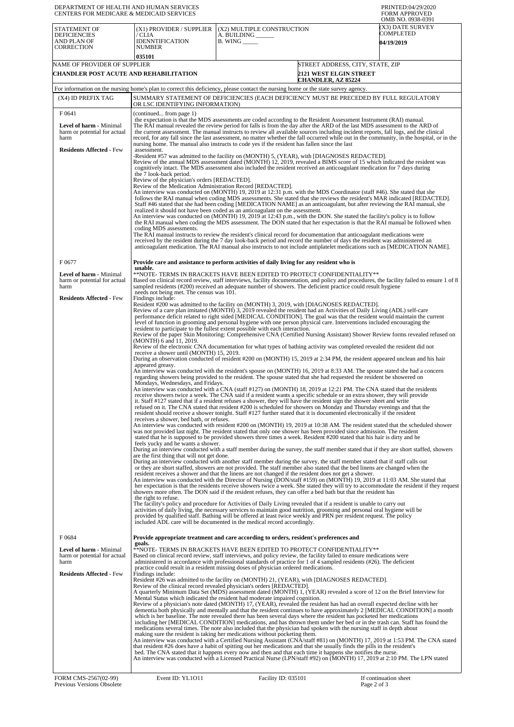| DEPARTMENT OF HEALTH AND HUMAN SERVICES<br><b>CENTERS FOR MEDICARE &amp; MEDICAID SERVICES</b> |                                                                                                                                                                                                                                                                                                                                                                                                                                                                                                                                                                                                                                          |                                                                                                                                                                                                                                                                                                                                                                                                                                                                                                                                                                                                                                                                                                                                                                                                                                                                                                                                                                                                                                                                                                                                                                                                                                                                                                                                                                                                                                                                                                                                                                                                                                                                                                                                                                                                                                                                                                                                                                                                                                                                                                                                                                                                                                                                                                                                                                                                                                                                                                                                                                                                                                                                                                                                                                                                                                                     | PRINTED:04/29/2020<br><b>FORM APPROVED</b><br>OMB NO. 0938-0391                                                                                                                                                                                                                                                                                                                                                                                                                                                                                  |  |  |
|------------------------------------------------------------------------------------------------|------------------------------------------------------------------------------------------------------------------------------------------------------------------------------------------------------------------------------------------------------------------------------------------------------------------------------------------------------------------------------------------------------------------------------------------------------------------------------------------------------------------------------------------------------------------------------------------------------------------------------------------|-----------------------------------------------------------------------------------------------------------------------------------------------------------------------------------------------------------------------------------------------------------------------------------------------------------------------------------------------------------------------------------------------------------------------------------------------------------------------------------------------------------------------------------------------------------------------------------------------------------------------------------------------------------------------------------------------------------------------------------------------------------------------------------------------------------------------------------------------------------------------------------------------------------------------------------------------------------------------------------------------------------------------------------------------------------------------------------------------------------------------------------------------------------------------------------------------------------------------------------------------------------------------------------------------------------------------------------------------------------------------------------------------------------------------------------------------------------------------------------------------------------------------------------------------------------------------------------------------------------------------------------------------------------------------------------------------------------------------------------------------------------------------------------------------------------------------------------------------------------------------------------------------------------------------------------------------------------------------------------------------------------------------------------------------------------------------------------------------------------------------------------------------------------------------------------------------------------------------------------------------------------------------------------------------------------------------------------------------------------------------------------------------------------------------------------------------------------------------------------------------------------------------------------------------------------------------------------------------------------------------------------------------------------------------------------------------------------------------------------------------------------------------------------------------------------------------------------------------------|--------------------------------------------------------------------------------------------------------------------------------------------------------------------------------------------------------------------------------------------------------------------------------------------------------------------------------------------------------------------------------------------------------------------------------------------------------------------------------------------------------------------------------------------------|--|--|
| STATEMENT OF<br><b>DEFICIENCIES</b><br>AND PLAN OF                                             | (X1) PROVIDER / SUPPLIER<br>/ CLIA<br><b>IDENNTIFICATION</b>                                                                                                                                                                                                                                                                                                                                                                                                                                                                                                                                                                             | (X2) MULTIPLE CONSTRUCTION<br>A. BUILDING<br>$B.$ WING $\_\_\_\_\_\_\$                                                                                                                                                                                                                                                                                                                                                                                                                                                                                                                                                                                                                                                                                                                                                                                                                                                                                                                                                                                                                                                                                                                                                                                                                                                                                                                                                                                                                                                                                                                                                                                                                                                                                                                                                                                                                                                                                                                                                                                                                                                                                                                                                                                                                                                                                                                                                                                                                                                                                                                                                                                                                                                                                                                                                                              | (X3) DATE SURVEY<br>COMPLETED<br><b>04/19/2019</b>                                                                                                                                                                                                                                                                                                                                                                                                                                                                                               |  |  |
| <b>CORRECTION</b>                                                                              | <b>NUMBER</b><br>035101                                                                                                                                                                                                                                                                                                                                                                                                                                                                                                                                                                                                                  |                                                                                                                                                                                                                                                                                                                                                                                                                                                                                                                                                                                                                                                                                                                                                                                                                                                                                                                                                                                                                                                                                                                                                                                                                                                                                                                                                                                                                                                                                                                                                                                                                                                                                                                                                                                                                                                                                                                                                                                                                                                                                                                                                                                                                                                                                                                                                                                                                                                                                                                                                                                                                                                                                                                                                                                                                                                     |                                                                                                                                                                                                                                                                                                                                                                                                                                                                                                                                                  |  |  |
| NAME OF PROVIDER OF SUPPLIER                                                                   |                                                                                                                                                                                                                                                                                                                                                                                                                                                                                                                                                                                                                                          |                                                                                                                                                                                                                                                                                                                                                                                                                                                                                                                                                                                                                                                                                                                                                                                                                                                                                                                                                                                                                                                                                                                                                                                                                                                                                                                                                                                                                                                                                                                                                                                                                                                                                                                                                                                                                                                                                                                                                                                                                                                                                                                                                                                                                                                                                                                                                                                                                                                                                                                                                                                                                                                                                                                                                                                                                                                     | STREET ADDRESS, CITY, STATE, ZIP                                                                                                                                                                                                                                                                                                                                                                                                                                                                                                                 |  |  |
| CHANDLER POST ACUTE AND REHABILITATION                                                         |                                                                                                                                                                                                                                                                                                                                                                                                                                                                                                                                                                                                                                          | <b>2121 WEST ELGIN STREET</b><br><b>CHANDLER, AZ 85224</b>                                                                                                                                                                                                                                                                                                                                                                                                                                                                                                                                                                                                                                                                                                                                                                                                                                                                                                                                                                                                                                                                                                                                                                                                                                                                                                                                                                                                                                                                                                                                                                                                                                                                                                                                                                                                                                                                                                                                                                                                                                                                                                                                                                                                                                                                                                                                                                                                                                                                                                                                                                                                                                                                                                                                                                                          |                                                                                                                                                                                                                                                                                                                                                                                                                                                                                                                                                  |  |  |
|                                                                                                |                                                                                                                                                                                                                                                                                                                                                                                                                                                                                                                                                                                                                                          | For information on the nursing home's plan to correct this deficiency, please contact the nursing home or the state survey agency.                                                                                                                                                                                                                                                                                                                                                                                                                                                                                                                                                                                                                                                                                                                                                                                                                                                                                                                                                                                                                                                                                                                                                                                                                                                                                                                                                                                                                                                                                                                                                                                                                                                                                                                                                                                                                                                                                                                                                                                                                                                                                                                                                                                                                                                                                                                                                                                                                                                                                                                                                                                                                                                                                                                  |                                                                                                                                                                                                                                                                                                                                                                                                                                                                                                                                                  |  |  |
| (X4) ID PREFIX TAG                                                                             | OR LSC IDENTIFYING INFORMATION)                                                                                                                                                                                                                                                                                                                                                                                                                                                                                                                                                                                                          | SUMMARY STATEMENT OF DEFICIENCIES (EACH DEFICIENCY MUST BE PRECEDED BY FULL REGULATORY                                                                                                                                                                                                                                                                                                                                                                                                                                                                                                                                                                                                                                                                                                                                                                                                                                                                                                                                                                                                                                                                                                                                                                                                                                                                                                                                                                                                                                                                                                                                                                                                                                                                                                                                                                                                                                                                                                                                                                                                                                                                                                                                                                                                                                                                                                                                                                                                                                                                                                                                                                                                                                                                                                                                                              |                                                                                                                                                                                                                                                                                                                                                                                                                                                                                                                                                  |  |  |
| F 0641                                                                                         | (continued from page 1)                                                                                                                                                                                                                                                                                                                                                                                                                                                                                                                                                                                                                  |                                                                                                                                                                                                                                                                                                                                                                                                                                                                                                                                                                                                                                                                                                                                                                                                                                                                                                                                                                                                                                                                                                                                                                                                                                                                                                                                                                                                                                                                                                                                                                                                                                                                                                                                                                                                                                                                                                                                                                                                                                                                                                                                                                                                                                                                                                                                                                                                                                                                                                                                                                                                                                                                                                                                                                                                                                                     |                                                                                                                                                                                                                                                                                                                                                                                                                                                                                                                                                  |  |  |
| Level of harm - Minimal<br>harm or potential for actual<br>harm                                | the expectation is that the MDS assessments are coded according to the Resident Assessment Instrument (RAI) manual.<br>The RAI manual revealed the review period for falls is from the day after the ARD of the last MDS assessment to the ARD of<br>the current assessment. The manual instructs to review all available sources including incident reports, fall logs, and the clinical<br>record, for any fall since the last assessment, no matter whether the fall occurred while out in the community, in the hospital, or in the<br>nursing home. The manual also instructs to code yes if the resident has fallen since the last |                                                                                                                                                                                                                                                                                                                                                                                                                                                                                                                                                                                                                                                                                                                                                                                                                                                                                                                                                                                                                                                                                                                                                                                                                                                                                                                                                                                                                                                                                                                                                                                                                                                                                                                                                                                                                                                                                                                                                                                                                                                                                                                                                                                                                                                                                                                                                                                                                                                                                                                                                                                                                                                                                                                                                                                                                                                     |                                                                                                                                                                                                                                                                                                                                                                                                                                                                                                                                                  |  |  |
| <b>Residents Affected - Few</b>                                                                | assessment.<br>-Resident #57 was admitted to the facility on (MONTH) 5, (YEAR), with [DIAGNOSES REDACTED].<br>Review of the annual MDS assessment dated (MONTH) 12, 2019, revealed a BIMS score of 15 which indicated the resident was<br>cognitively intact. The MDS assessment also included the resident received an anticoagulant medication for 7 days during<br>the 7 look-back period.                                                                                                                                                                                                                                            |                                                                                                                                                                                                                                                                                                                                                                                                                                                                                                                                                                                                                                                                                                                                                                                                                                                                                                                                                                                                                                                                                                                                                                                                                                                                                                                                                                                                                                                                                                                                                                                                                                                                                                                                                                                                                                                                                                                                                                                                                                                                                                                                                                                                                                                                                                                                                                                                                                                                                                                                                                                                                                                                                                                                                                                                                                                     |                                                                                                                                                                                                                                                                                                                                                                                                                                                                                                                                                  |  |  |
|                                                                                                | Review of the physician's orders [REDACTED].<br>Review of the Medication Administration Record [REDACTED].<br>coding MDS assessments.                                                                                                                                                                                                                                                                                                                                                                                                                                                                                                    | An interview was conducted on (MONTH) 19, 2019 at 12:31 p.m. with the MDS Coordinator (staff #46). She stated that she<br>Staff #46 stated that she had been coding [MEDICATION NAME] as an anticoagulant, but after reviewing the RAI manual, she<br>realized it should not have been coded as an anticoagulant on the assessment.<br>An interview was conducted on (MONTH) 19, 2019 at 12:43 p.m., with the DON. She stated the facility's policy is to follow<br>The RAI manual instructs to review the resident's clinical record for documentation that anticoagulant medications were<br>received by the resident during the 7 day look-back period and record the number of days the resident was administered an                                                                                                                                                                                                                                                                                                                                                                                                                                                                                                                                                                                                                                                                                                                                                                                                                                                                                                                                                                                                                                                                                                                                                                                                                                                                                                                                                                                                                                                                                                                                                                                                                                                                                                                                                                                                                                                                                                                                                                                                                                                                                                                            | follows the RAI manual when coding MDS assessments. She stated that she reviews the resident's MAR indicated [REDACTED].<br>the RAI manual when coding the MDS assessment. The DON stated that her expectation is that the RAI manual be followed when                                                                                                                                                                                                                                                                                           |  |  |
| F0677                                                                                          |                                                                                                                                                                                                                                                                                                                                                                                                                                                                                                                                                                                                                                          | Provide care and assistance to perform activities of daily living for any resident who is                                                                                                                                                                                                                                                                                                                                                                                                                                                                                                                                                                                                                                                                                                                                                                                                                                                                                                                                                                                                                                                                                                                                                                                                                                                                                                                                                                                                                                                                                                                                                                                                                                                                                                                                                                                                                                                                                                                                                                                                                                                                                                                                                                                                                                                                                                                                                                                                                                                                                                                                                                                                                                                                                                                                                           | anticoagulant medication. The RAI manual also instructs to not include antiplatelet medications such as [MEDICATION NAME].                                                                                                                                                                                                                                                                                                                                                                                                                       |  |  |
|                                                                                                | unable.                                                                                                                                                                                                                                                                                                                                                                                                                                                                                                                                                                                                                                  |                                                                                                                                                                                                                                                                                                                                                                                                                                                                                                                                                                                                                                                                                                                                                                                                                                                                                                                                                                                                                                                                                                                                                                                                                                                                                                                                                                                                                                                                                                                                                                                                                                                                                                                                                                                                                                                                                                                                                                                                                                                                                                                                                                                                                                                                                                                                                                                                                                                                                                                                                                                                                                                                                                                                                                                                                                                     |                                                                                                                                                                                                                                                                                                                                                                                                                                                                                                                                                  |  |  |
| <b>Level of harm - Minimal</b><br>harm or potential for actual<br>harm                         | needs not being met. The census was 101.                                                                                                                                                                                                                                                                                                                                                                                                                                                                                                                                                                                                 | **NOTE- TERMS IN BRACKETS HAVE BEEN EDITED TO PROTECT CONFIDENTIALITY**<br>sampled residents (#200) received an adequate number of showers. The deficient practice could result hygiene                                                                                                                                                                                                                                                                                                                                                                                                                                                                                                                                                                                                                                                                                                                                                                                                                                                                                                                                                                                                                                                                                                                                                                                                                                                                                                                                                                                                                                                                                                                                                                                                                                                                                                                                                                                                                                                                                                                                                                                                                                                                                                                                                                                                                                                                                                                                                                                                                                                                                                                                                                                                                                                             | Based on clinical record review, staff interviews, facility documentation, and policy and procedures, the facility failed to ensure 1 of 8                                                                                                                                                                                                                                                                                                                                                                                                       |  |  |
| <b>Residents Affected - Few</b>                                                                | Findings include:                                                                                                                                                                                                                                                                                                                                                                                                                                                                                                                                                                                                                        |                                                                                                                                                                                                                                                                                                                                                                                                                                                                                                                                                                                                                                                                                                                                                                                                                                                                                                                                                                                                                                                                                                                                                                                                                                                                                                                                                                                                                                                                                                                                                                                                                                                                                                                                                                                                                                                                                                                                                                                                                                                                                                                                                                                                                                                                                                                                                                                                                                                                                                                                                                                                                                                                                                                                                                                                                                                     |                                                                                                                                                                                                                                                                                                                                                                                                                                                                                                                                                  |  |  |
|                                                                                                | (MONTH) 6 and 11, 2019.<br>receive a shower until (MONTH) 15, 2019.<br>appeared greasy.<br>Mondays, Wednesdays, and Fridays.<br>receives a shower, bed bath, or refuses.<br>feels yucky and he wants a shower.<br>are the first thing that will not get done.<br>the right to refuse.                                                                                                                                                                                                                                                                                                                                                    | Resident #200 was admitted to the facility on (MONTH) 3, 2019, with [DIAGNOSES REDACTED].<br>Review of a care plan imitated (MONTH) 3, 2019 revealed the resident had an Activities of Daily Living (ADL) self-care<br>performance deficit related to right sided [MEDICAL CONDITION]. The goal was that the resident would maintain the current<br>level of function in grooming and personal hygiene with one person physical care. Interventions included encouraging the<br>resident to participate to the fullest extent possible with each interaction.<br>Review of the electronic CNA documentation for what types of bathing activity was completed revealed the resident did not<br>During an observation conducted of resident #200 on (MONTH) 15, 2019 at 2:34 PM, the resident appeared unclean and his hair<br>An interview was conducted with the resident's spouse on (MONTH) 16, 2019 at 8:33 AM. The spouse stated she had a concern<br>regarding showers being provided to the resident. The spouse stated that she had requested the resident be showered on<br>An interview was conducted with a CNA (staff #127) on (MONTH) 18, 2019 at 12:21 PM. The CNA stated that the residents<br>receive showers twice a week. The CNA said if a resident wants a specific schedule or an extra shower, they will provide<br>it. Staff #127 stated that if a resident refuses a shower, they will have the resident sign the shower sheet and write<br>refused on it. The CNA stated that resident #200 is scheduled for showers on Monday and Thursday evenings and that the<br>resident should receive a shower tonight. Staff #127 further stated that it is documented electronically if the resident<br>was not provided last night. The resident stated that only one shower has been provided since admission. The resident<br>stated that he is supposed to be provided showers three times a week. Resident #200 stated that his hair is dirty and he<br>During an interview conducted with another staff member during the survey, the staff member stated that if staff calls out<br>or they are short staffed, showers are not provided. The staff member also stated that the bed linens are changed when the<br>resident receives a shower and that the linens are not changed if the resident does not get a shower.<br>An interview was conducted with the Director of Nursing (DON/staff #159) on (MONTH) 19, 2019 at 11:03 AM. She stated that<br>showers more often. The DON said if the resident refuses, they can offer a bed bath but that the resident has<br>The facility's policy and procedure for Activities of Daily Living revealed that if a resident is unable to carry out<br>activities of daily living, the necessary services to maintain good nutrition, grooming and personal oral hygiene will be | Review of the paper Skin Monitoring: Comprehensive CNA (Certified Nursing Assistant) Shower Review forms revealed refused on<br>An interview was conducted with resident #200 on (MONTH) 19, 2019 at 10:38 AM. The resident stated that the scheduled shower<br>During an interview conducted with a staff member during the survey, the staff member stated that if they are short staffed, showers<br>her expectation is that the residents receive showers twice a week. She stated they will try to accommodate the resident if they request |  |  |
|                                                                                                |                                                                                                                                                                                                                                                                                                                                                                                                                                                                                                                                                                                                                                          | provided by qualified staff. Bathing will be offered at least twice weekly and PRN per resident request. The policy<br>included ADL care will be documented in the medical record accordingly.                                                                                                                                                                                                                                                                                                                                                                                                                                                                                                                                                                                                                                                                                                                                                                                                                                                                                                                                                                                                                                                                                                                                                                                                                                                                                                                                                                                                                                                                                                                                                                                                                                                                                                                                                                                                                                                                                                                                                                                                                                                                                                                                                                                                                                                                                                                                                                                                                                                                                                                                                                                                                                                      |                                                                                                                                                                                                                                                                                                                                                                                                                                                                                                                                                  |  |  |
| F0684                                                                                          | goals.                                                                                                                                                                                                                                                                                                                                                                                                                                                                                                                                                                                                                                   | Provide appropriate treatment and care according to orders, resident's preferences and                                                                                                                                                                                                                                                                                                                                                                                                                                                                                                                                                                                                                                                                                                                                                                                                                                                                                                                                                                                                                                                                                                                                                                                                                                                                                                                                                                                                                                                                                                                                                                                                                                                                                                                                                                                                                                                                                                                                                                                                                                                                                                                                                                                                                                                                                                                                                                                                                                                                                                                                                                                                                                                                                                                                                              |                                                                                                                                                                                                                                                                                                                                                                                                                                                                                                                                                  |  |  |
| Level of harm - Minimal<br>harm or potential for actual<br>harm                                |                                                                                                                                                                                                                                                                                                                                                                                                                                                                                                                                                                                                                                          | **NOTE- TERMS IN BRACKETS HAVE BEEN EDITED TO PROTECT CONFIDENTIALITY**<br>Based on clinical record review, staff interviews, and policy review, the facility failed to ensure medications were<br>administered in accordance with professional standards of practice for 1 of 4 sampled residents (#26). The deficient<br>practice could result in a resident missing doses of physician ordered medications.                                                                                                                                                                                                                                                                                                                                                                                                                                                                                                                                                                                                                                                                                                                                                                                                                                                                                                                                                                                                                                                                                                                                                                                                                                                                                                                                                                                                                                                                                                                                                                                                                                                                                                                                                                                                                                                                                                                                                                                                                                                                                                                                                                                                                                                                                                                                                                                                                                      |                                                                                                                                                                                                                                                                                                                                                                                                                                                                                                                                                  |  |  |
| <b>Residents Affected - Few</b>                                                                | Findings include:                                                                                                                                                                                                                                                                                                                                                                                                                                                                                                                                                                                                                        | Resident #26 was admitted to the facility on (MONTH) 21, (YEAR), with [DIAGNOSES REDACTED].<br>Review of the clinical record revealed physician's orders [REDACTED].<br>A quarterly Minimum Data Set (MDS) assessment dated (MONTH) 1, (YEAR) revealed a score of 12 on the Brief Interview for<br>Mental Status which indicated the resident had moderate impaired cognition.<br>Review of a physician's note dated (MONTH) 17, (YEAR), revealed the resident has had an overall expected decline with her<br>which is her baseline. The note revealed there has been several days where the resident has pocketed her medications<br>including her [MEDICAL CONDITION] medications, and has thrown them under her bed or in the trash can. Staff has found the<br>medications several times. The note also included that the physician had spoken with the nursing staff in depth about<br>making sure the resident is taking her medications without pocketing them.<br>that resident #26 does have a habit of spitting out her medications and that she usually finds the pills in the resident's<br>bed. The CNA stated that it happens every now and then and that each time it happens she notifies the nurse.<br>An interview was conducted with a Licensed Practical Nurse (LPN/staff #92) on (MONTH) 17, 2019 at 2:10 PM. The LPN stated                                                                                                                                                                                                                                                                                                                                                                                                                                                                                                                                                                                                                                                                                                                                                                                                                                                                                                                                                                                                                                                                                                                                                                                                                                                                                                                                                                                                                                                                                                  | dementia both physically and mentally and that the resident continues to have approximately 2 [MEDICAL CONDITION] a month<br>An interview was conducted with a Certified Nursing Assistant (CNA/staff #81) on (MONTH) 17, 2019 at 1:53 PM. The CNA stated                                                                                                                                                                                                                                                                                        |  |  |
| FORM CMS-2567(02-99)<br>Previous Versions Obsolete                                             | Event ID: YL1011                                                                                                                                                                                                                                                                                                                                                                                                                                                                                                                                                                                                                         | Facility ID: 035101                                                                                                                                                                                                                                                                                                                                                                                                                                                                                                                                                                                                                                                                                                                                                                                                                                                                                                                                                                                                                                                                                                                                                                                                                                                                                                                                                                                                                                                                                                                                                                                                                                                                                                                                                                                                                                                                                                                                                                                                                                                                                                                                                                                                                                                                                                                                                                                                                                                                                                                                                                                                                                                                                                                                                                                                                                 | If continuation sheet<br>Page 2 of 3                                                                                                                                                                                                                                                                                                                                                                                                                                                                                                             |  |  |